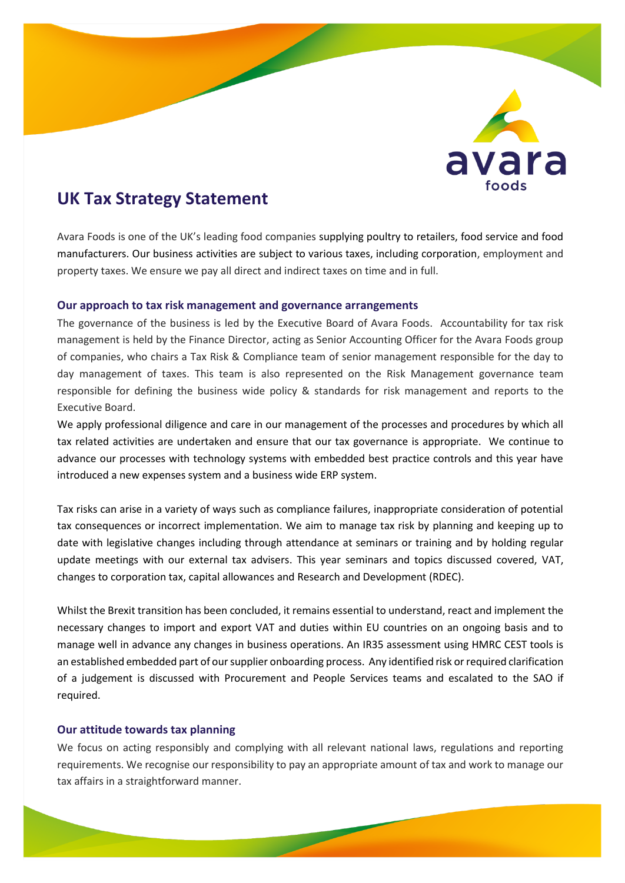

# **UK Tax Strategy Statement**

Avara Foods is one of the UK's leading food companies supplying poultry to retailers, food service and food manufacturers. Our business activities are subject to various taxes, including corporation, employment and property taxes. We ensure we pay all direct and indirect taxes on time and in full.

#### **Our approach to tax risk management and governance arrangements**

The governance of the business is led by the Executive Board of Avara Foods. Accountability for tax risk management is held by the Finance Director, acting as Senior Accounting Officer for the Avara Foods group of companies, who chairs a Tax Risk & Compliance team of senior management responsible for the day to day management of taxes. This team is also represented on the Risk Management governance team responsible for defining the business wide policy & standards for risk management and reports to the Executive Board.

We apply professional diligence and care in our management of the processes and procedures by which all tax related activities are undertaken and ensure that our tax governance is appropriate. We continue to advance our processes with technology systems with embedded best practice controls and this year have introduced a new expenses system and a business wide ERP system.

Tax risks can arise in a variety of ways such as compliance failures, inappropriate consideration of potential tax consequences or incorrect implementation. We aim to manage tax risk by planning and keeping up to date with legislative changes including through attendance at seminars or training and by holding regular update meetings with our external tax advisers. This year seminars and topics discussed covered, VAT, changes to corporation tax, capital allowances and Research and Development (RDEC).

Whilst the Brexit transition has been concluded, it remains essential to understand, react and implement the necessary changes to import and export VAT and duties within EU countries on an ongoing basis and to manage well in advance any changes in business operations. An IR35 assessment using HMRC CEST tools is an established embedded part of oursupplier onboarding process. Any identified risk or required clarification of a judgement is discussed with Procurement and People Services teams and escalated to the SAO if required.

# **Our attitude towards tax planning**

We focus on acting responsibly and complying with all relevant national laws, regulations and reporting requirements. We recognise our responsibility to pay an appropriate amount of tax and work to manage our tax affairs in a straightforward manner.